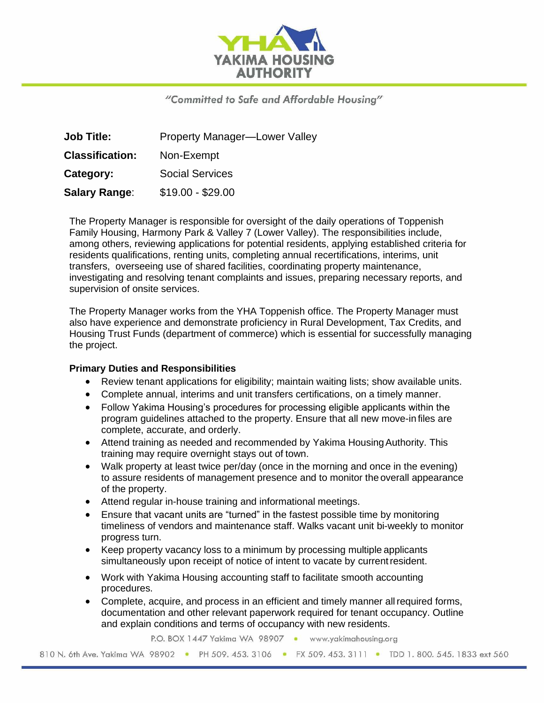

# "Committed to Safe and Affordable Housing"

| <b>Job Title:</b>      | <b>Property Manager-Lower Valley</b> |
|------------------------|--------------------------------------|
| <b>Classification:</b> | Non-Exempt                           |
| Category:              | <b>Social Services</b>               |
| <b>Salary Range:</b>   | $$19.00 - $29.00$                    |

The Property Manager is responsible for oversight of the daily operations of Toppenish Family Housing, Harmony Park & Valley 7 (Lower Valley). The responsibilities include, among others, reviewing applications for potential residents, applying established criteria for residents qualifications, renting units, completing annual recertifications, interims, unit transfers, overseeing use of shared facilities, coordinating property maintenance, investigating and resolving tenant complaints and issues, preparing necessary reports, and supervision of onsite services.

The Property Manager works from the YHA Toppenish office. The Property Manager must also have experience and demonstrate proficiency in Rural Development, Tax Credits, and Housing Trust Funds (department of commerce) which is essential for successfully managing the project.

### **Primary Duties and Responsibilities**

- Review tenant applications for eligibility; maintain waiting lists; show available units.
- Complete annual, interims and unit transfers certifications, on a timely manner.
- Follow Yakima Housing's procedures for processing eligible applicants within the program guidelines attached to the property. Ensure that all new move-in files are complete, accurate, and orderly.
- Attend training as needed and recommended by Yakima Housing Authority. This training may require overnight stays out of town.
- Walk property at least twice per/day (once in the morning and once in the evening) to assure residents of management presence and to monitor the overall appearance of the property.
- Attend regular in-house training and informational meetings.
- Ensure that vacant units are "turned" in the fastest possible time by monitoring timeliness of vendors and maintenance staff. Walks vacant unit bi-weekly to monitor progress turn.
- Keep property vacancy loss to a minimum by processing multiple applicants simultaneously upon receipt of notice of intent to vacate by currentresident.
- Work with Yakima Housing accounting staff to facilitate smooth accounting procedures.
- Complete, acquire, and process in an efficient and timely manner allrequired forms, documentation and other relevant paperwork required for tenant occupancy. Outline and explain conditions and terms of occupancy with new residents.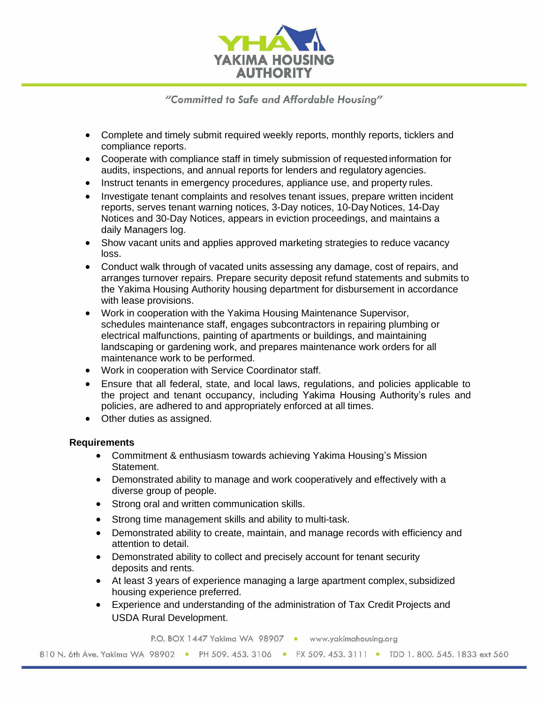

"Committed to Safe and Affordable Housing"

- Complete and timely submit required weekly reports, monthly reports, ticklers and compliance reports.
- Cooperate with compliance staff in timely submission of requested information for audits, inspections, and annual reports for lenders and regulatory agencies.
- Instruct tenants in emergency procedures, appliance use, and property rules.
- Investigate tenant complaints and resolves tenant issues, prepare written incident reports, serves tenant warning notices, 3-Day notices, 10-Day Notices, 14-Day Notices and 30-Day Notices, appears in eviction proceedings, and maintains a daily Managers log.
- Show vacant units and applies approved marketing strategies to reduce vacancy loss.
- Conduct walk through of vacated units assessing any damage, cost of repairs, and arranges turnover repairs. Prepare security deposit refund statements and submits to the Yakima Housing Authority housing department for disbursement in accordance with lease provisions.
- Work in cooperation with the Yakima Housing Maintenance Supervisor, schedules maintenance staff, engages subcontractors in repairing plumbing or electrical malfunctions, painting of apartments or buildings, and maintaining landscaping or gardening work, and prepares maintenance work orders for all maintenance work to be performed.
- Work in cooperation with Service Coordinator staff.
- Ensure that all federal, state, and local laws, regulations, and policies applicable to the project and tenant occupancy, including Yakima Housing Authority's rules and policies, are adhered to and appropriately enforced at all times.
- Other duties as assigned.

### **Requirements**

- Commitment & enthusiasm towards achieving Yakima Housing's Mission Statement.
- Demonstrated ability to manage and work cooperatively and effectively with a diverse group of people.
- Strong oral and written communication skills.
- Strong time management skills and ability to multi-task.
- Demonstrated ability to create, maintain, and manage records with efficiency and attention to detail.
- Demonstrated ability to collect and precisely account for tenant security deposits and rents.
- At least 3 years of experience managing a large apartment complex, subsidized housing experience preferred.
- Experience and understanding of the administration of Tax Credit Projects and USDA Rural Development.

P.O. BOX 1447 Yakima WA 98907 · www.yakimahousing.org